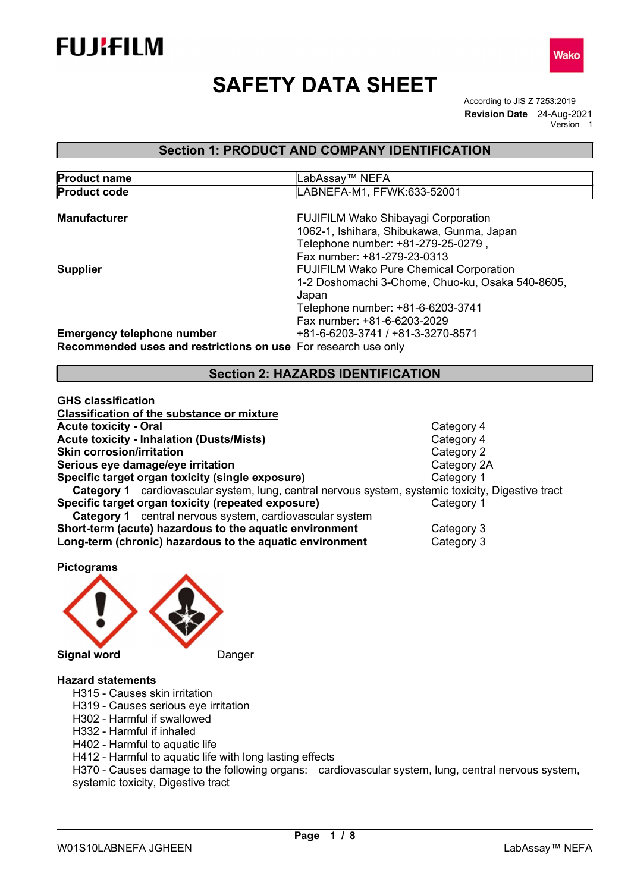





Wako

# Section 1: PRODUCT AND COMPANY IDENTIFICATION

| LABNEFA-M1, FFWK:633-52001                                     |
|----------------------------------------------------------------|
|                                                                |
|                                                                |
| <b>FUJIFILM Wako Shibayagi Corporation</b>                     |
| 1062-1, Ishihara, Shibukawa, Gunma, Japan                      |
| Telephone number: +81-279-25-0279,                             |
| Fax number: +81-279-23-0313                                    |
| <b>FUJIFILM Wako Pure Chemical Corporation</b>                 |
| 1-2 Doshomachi 3-Chome, Chuo-ku, Osaka 540-8605,               |
| Japan                                                          |
| Telephone number: +81-6-6203-3741                              |
| Fax number: +81-6-6203-2029                                    |
| +81-6-6203-3741 / +81-3-3270-8571                              |
| Recommended uses and restrictions on use For research use only |
|                                                                |
| .                                                              |

Section 2: HAZARDS IDENTIFICATION

| <b>GHS classification</b>                                                                          |            |  |
|----------------------------------------------------------------------------------------------------|------------|--|
| <b>Classification of the substance or mixture</b>                                                  |            |  |
| <b>Acute toxicity - Oral</b>                                                                       | Category 4 |  |
| <b>Acute toxicity - Inhalation (Dusts/Mists)</b>                                                   | Category 4 |  |
| <b>Skin corrosion/irritation</b>                                                                   | Category 2 |  |
| Category 2A<br>Serious eye damage/eye irritation                                                   |            |  |
| Specific target organ toxicity (single exposure)                                                   | Category 1 |  |
| Category 1 cardiovascular system, lung, central nervous system, systemic toxicity, Digestive tract |            |  |
| Specific target organ toxicity (repeated exposure)                                                 | Category 1 |  |
| <b>Category 1</b> central nervous system, cardiovascular system                                    |            |  |
| Short-term (acute) hazardous to the aquatic environment<br>Category 3                              |            |  |
| Long-term (chronic) hazardous to the aquatic environment<br>Category 3                             |            |  |

Pictograms



#### Hazard statements

- H315 Causes skin irritation
- H319 Causes serious eye irritation
- H302 Harmful if swallowed
- H332 Harmful if inhaled
- H402 Harmful to aquatic life
- H412 Harmful to aquatic life with long lasting effects

H370 - Causes damage to the following organs: cardiovascular system, lung, central nervous system, systemic toxicity, Digestive tract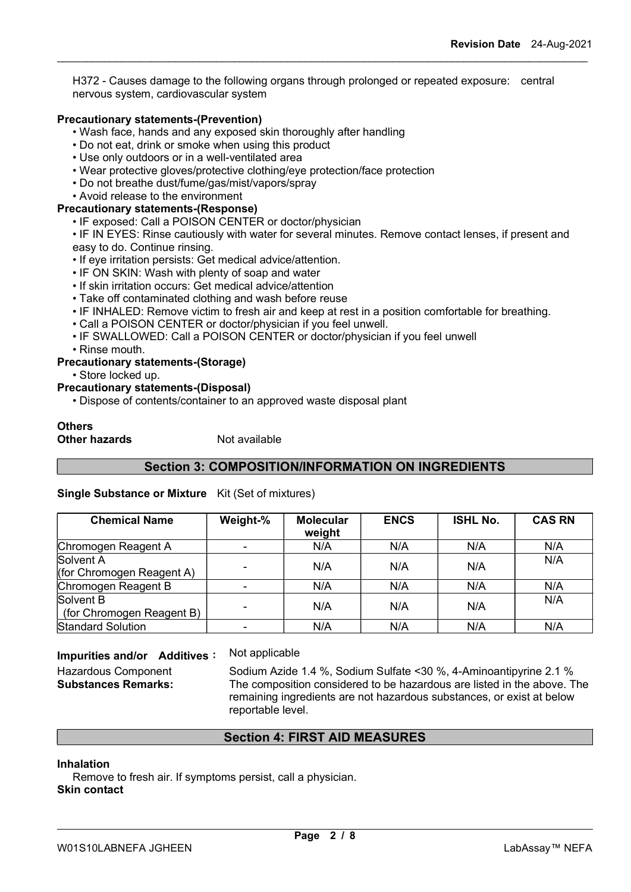H372 - Causes damage to the following organs through prolonged or repeated exposure: central nervous system, cardiovascular system

### Precautionary statements-(Prevention)

- Wash face, hands and any exposed skin thoroughly after handling
- Do not eat, drink or smoke when using this product
- Use only outdoors or in a well-ventilated area
- Wear protective gloves/protective clothing/eye protection/face protection
- Do not breathe dust/fume/gas/mist/vapors/spray
- Avoid release to the environment

# Precautionary statements-(Response)

- IF exposed: Call a POISON CENTER or doctor/physician
- IF IN EYES: Rinse cautiously with water for several minutes. Remove contact lenses, if present and easy to do. Continue rinsing.
- If eye irritation persists: Get medical advice/attention.
- IF ON SKIN: Wash with plenty of soap and water
- If skin irritation occurs: Get medical advice/attention
- Take off contaminated clothing and wash before reuse
- IF INHALED: Remove victim to fresh air and keep at rest in a position comfortable for breathing.
- Call a POISON CENTER or doctor/physician if you feel unwell.
- IF SWALLOWED: Call a POISON CENTER or doctor/physician if you feel unwell
- Rinse mouth.

#### Precautionary statements-(Storage)

• Store locked up.

# Precautionary statements-(Disposal)

• Dispose of contents/container to an approved waste disposal plant

#### **Others Other hazards** Not available

# Section 3: COMPOSITION/INFORMATION ON INGREDIENTS

#### Single Substance or Mixture Kit (Set of mixtures)

| <b>Chemical Name</b>                   | Weight-%                 | <b>Molecular</b><br>weight | <b>ENCS</b> | <b>ISHL No.</b> | <b>CAS RN</b> |
|----------------------------------------|--------------------------|----------------------------|-------------|-----------------|---------------|
| Chromogen Reagent A                    |                          | N/A                        | N/A         | N/A             | N/A           |
| Solvent A<br>(for Chromogen Reagent A) |                          | N/A                        | N/A         | N/A             | N/A           |
| Chromogen Reagent B                    | $\overline{\phantom{0}}$ | N/A                        | N/A         | N/A             | N/A           |
| Solvent B<br>(for Chromogen Reagent B) | $\overline{\phantom{0}}$ | N/A                        | N/A         | N/A             | N/A           |
| <b>Standard Solution</b>               |                          | N/A                        | N/A         | N/A             | N/A           |

# Impurities and/or Additives: Not applicable

Hazardous Component Sodium Azide 1.4 %, Sodium Sulfate < 30 %, 4-Aminoantipyrine 2.1 % Substances Remarks: The composition considered to be hazardous are listed in the above. The remaining ingredients are not hazardous substances, or exist at below reportable level.

# Section 4: FIRST AID MEASURES

#### Inhalation

Remove to fresh air. If symptoms persist, call a physician. Skin contact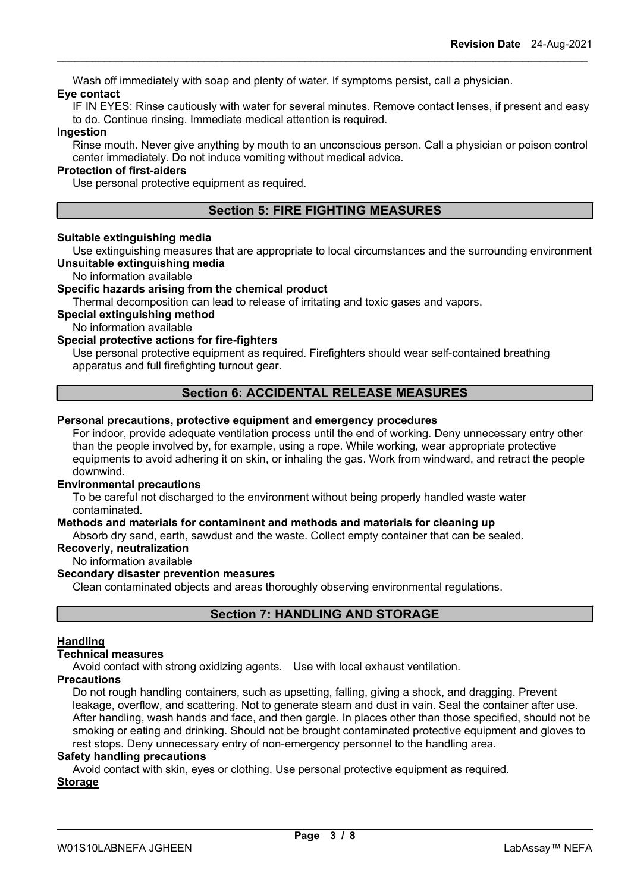Wash off immediately with soap and plenty of water. If symptoms persist, call a physician. Eye contact

IF IN EYES: Rinse cautiously with water for several minutes. Remove contact lenses, if present and easy to do. Continue rinsing. Immediate medical attention is required.

#### Ingestion

Rinse mouth. Never give anything by mouth to an unconscious person. Call a physician or poison control center immediately. Do not induce vomiting without medical advice.

# Protection of first-aiders

Use personal protective equipment as required.

# Section 5: FIRE FIGHTING MEASURES

#### Suitable extinguishing media

Use extinguishing measures that are appropriate to local circumstances and the surrounding environment Unsuitable extinguishing media

#### No information available

#### Specific hazards arising from the chemical product

Thermal decomposition can lead to release of irritating and toxic gases and vapors.

Special extinguishing method

No information available

# Special protective actions for fire-fighters

Use personal protective equipment as required. Firefighters should wear self-contained breathing apparatus and full firefighting turnout gear.

# Section 6: ACCIDENTAL RELEASE MEASURES

#### Personal precautions, protective equipment and emergency procedures

For indoor, provide adequate ventilation process until the end of working. Deny unnecessary entry other than the people involved by, for example, using a rope. While working, wear appropriate protective equipments to avoid adhering it on skin, or inhaling the gas. Work from windward, and retract the people downwind.

#### Environmental precautions

To be careful not discharged to the environment without being properly handled waste water contaminated.

#### Methods and materials for contaminent and methods and materials for cleaning up

Absorb dry sand, earth, sawdust and the waste. Collect empty container that can be sealed.

### Recoverly, neutralization

No information available

## Secondary disaster prevention measures

Clean contaminated objects and areas thoroughly observing environmental regulations.

# Section 7: HANDLING AND STORAGE

#### Handling

#### Technical measures

Avoid contact with strong oxidizing agents. Use with local exhaust ventilation.

#### **Precautions**

Do not rough handling containers, such as upsetting, falling, giving a shock, and dragging. Prevent leakage, overflow, and scattering. Not to generate steam and dust in vain. Seal the container after use. After handling, wash hands and face, and then gargle. In places other than those specified, should not be smoking or eating and drinking. Should not be brought contaminated protective equipment and gloves to rest stops. Deny unnecessary entry of non-emergency personnel to the handling area.

#### Safety handling precautions

Avoid contact with skin, eyes or clothing. Use personal protective equipment as required.

#### Storage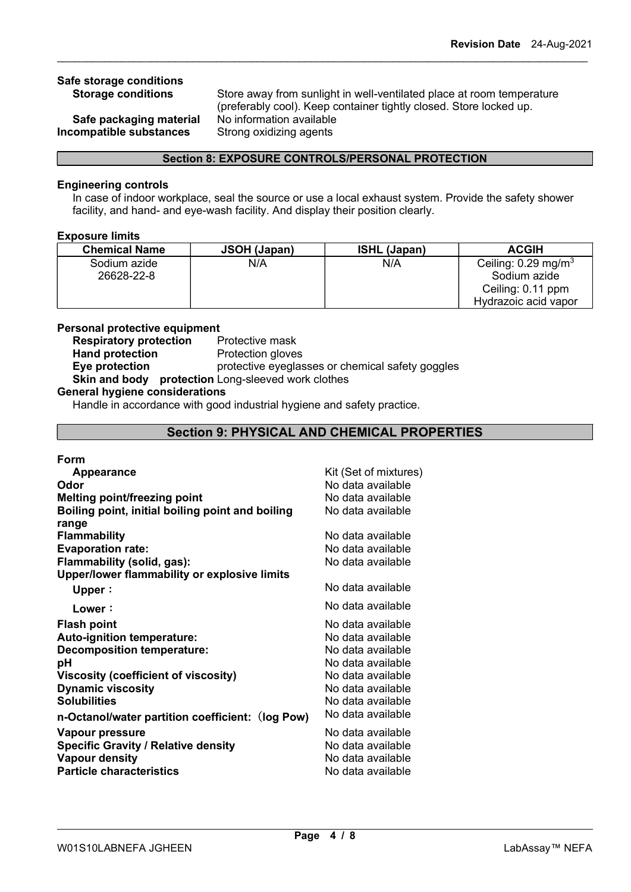# Safe storage conditions

Safe packaging material No information available Incompatible substances Strong oxidizing agents

Storage conditions Store away from sunlight in well-ventilated place at room temperature (preferably cool). Keep container tightly closed. Store locked up.

#### Section 8: EXPOSURE CONTROLS/PERSONAL PROTECTION

#### Engineering controls

In case of indoor workplace, seal the source or use a local exhaust system. Provide the safety shower facility, and hand- and eye-wash facility. And display their position clearly.

#### Exposure limits

| <b>Chemical Name</b> | JSOH (Japan) | <b>ISHL (Japan)</b> | <b>ACGIH</b>                   |
|----------------------|--------------|---------------------|--------------------------------|
| Sodium azide         | N/A          | N/A                 | Ceiling: $0.29 \text{ mg/m}^3$ |
| 26628-22-8           |              |                     | Sodium azide                   |
|                      |              |                     | Ceiling: 0.11 ppm              |
|                      |              |                     | Hydrazoic acid vapor           |

# Personal protective equipment

**Respiratory protection** Protective mask Hand protection Protection gloves **Eye protection** protective eyeglasses or chemical safety goggles Skin and body protection Long-sleeved work clothes

#### General hygiene considerations

Handle in accordance with good industrial hygiene and safety practice.

# Section 9: PHYSICAL AND CHEMICAL PROPERTIES

#### Form

| <b>Appearance</b>                                | Kit (Set of mixtures) |
|--------------------------------------------------|-----------------------|
| Odor                                             | No data available     |
| Melting point/freezing point                     | No data available     |
| Boiling point, initial boiling point and boiling | No data available     |
| range                                            |                       |
| Flammability                                     | No data available     |
| <b>Evaporation rate:</b>                         | No data available     |
| Flammability (solid, gas):                       | No data available     |
| Upper/lower flammability or explosive limits     |                       |
| Upper:                                           | No data available     |
| Lower:                                           | No data available     |
| Flash point                                      | No data available     |
| <b>Auto-ignition temperature:</b>                | No data available     |
| <b>Decomposition temperature:</b>                | No data available     |
| рH                                               | No data available     |
| Viscosity (coefficient of viscosity)             | No data available     |
| <b>Dynamic viscosity</b>                         | No data available     |
| Solubilities                                     | No data available     |
| n-Octanol/water partition coefficient: (log Pow) | No data available     |
| Vapour pressure                                  | No data available     |
| <b>Specific Gravity / Relative density</b>       | No data available     |
| Vapour density                                   | No data available     |
| <b>Particle characteristics</b>                  | No data available     |
|                                                  |                       |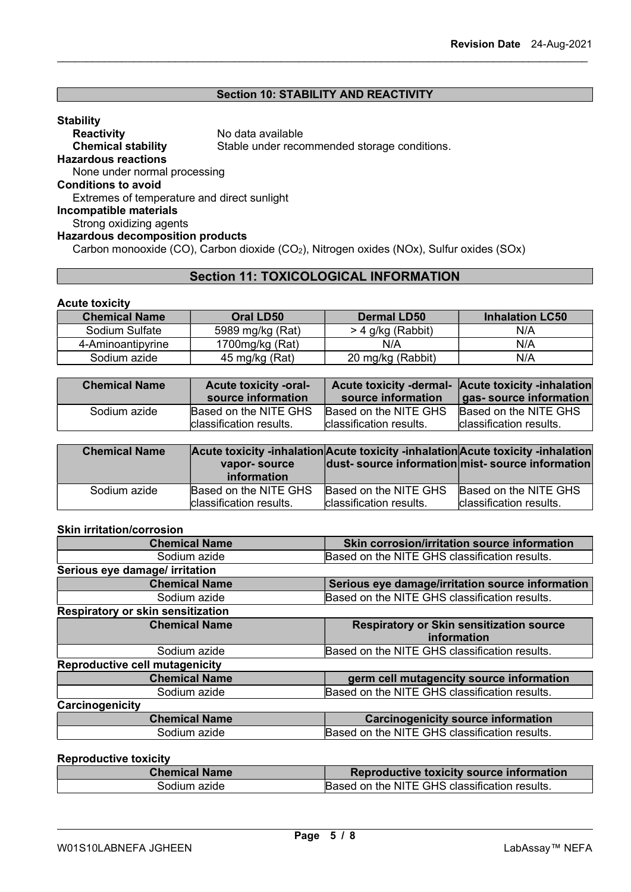# Section 10: STABILITY AND REACTIVITY

| <b>Stability</b>                            |                                                         |
|---------------------------------------------|---------------------------------------------------------|
| <b>Reactivity</b>                           | No data available                                       |
| <b>Chemical stability</b>                   | Stable under recommended storage conditions.            |
| <b>Hazardous reactions</b>                  |                                                         |
| None under normal processing                |                                                         |
| <b>Conditions to avoid</b>                  |                                                         |
| Extremes of temperature and direct sunlight |                                                         |
| Incompatible materials                      |                                                         |
| Strong oxidizing agents                     |                                                         |
| <b>Hazardous decomposition products</b>     |                                                         |
|                                             | <u>0</u> I II (00) 0 I I II (00) NITE I IN A LOTE I LOO |

Carbon monooxide (CO), Carbon dioxide (CO<sub>2</sub>), Nitrogen oxides (NOx), Sulfur oxides (SOx)

# Section 11: TOXICOLOGICAL INFORMATION

# Acute toxicity

| <b>Chemical Name</b> | Oral LD50          | <b>Dermal LD50</b> | <b>Inhalation LC50</b> |
|----------------------|--------------------|--------------------|------------------------|
| Sodium Sulfate       | 5989 mg/kg (Rat)   | > 4 g/kg (Rabbit)  | N/A                    |
| 4-Aminoantipyrine    | 1700 $mg/kg$ (Rat) | N/A                | N/A                    |
| Sodium azide         | 45 mg/kg (Rat)     | 20 mg/kg (Rabbit)  | N/A                    |

| <b>Chemical Name</b> | <b>Acute toxicity -oral-</b><br>source information | source information       | Acute toxicity -dermal- Acute toxicity -inhalation<br>gas- source information |
|----------------------|----------------------------------------------------|--------------------------|-------------------------------------------------------------------------------|
| Sodium azide         | Based on the NITE GHS                              | Based on the NITE GHS    | Based on the NITE GHS                                                         |
|                      | Iclassification results.                           | Iclassification results. | Iclassification results.                                                      |

| <b>Chemical Name</b> | vapor-source<br>information    |                                | Acute toxicity -inhalation Acute toxicity -inhalation Acute toxicity -inhalation<br>dust-source information mist-source information |
|----------------------|--------------------------------|--------------------------------|-------------------------------------------------------------------------------------------------------------------------------------|
| Sodium azide         | Based on the NITE GHS          | Based on the NITE GHS          | Based on the NITE GHS                                                                                                               |
|                      | <b>classification results.</b> | <b>classification results.</b> | Iclassification results.                                                                                                            |

# Skin irritation/corrosion

| Skin corrosion/irritation source information                   |
|----------------------------------------------------------------|
| Based on the NITE GHS classification results.                  |
|                                                                |
| Serious eye damage/irritation source information               |
| Based on the NITE GHS classification results.                  |
|                                                                |
| <b>Respiratory or Skin sensitization source</b><br>information |
| Based on the NITE GHS classification results.                  |
|                                                                |
| germ cell mutagencity source information                       |
| Based on the NITE GHS classification results.                  |
|                                                                |
| <b>Carcinogenicity source information</b>                      |
| Based on the NITE GHS classification results.                  |
|                                                                |

#### Reproductive toxicity

| Chemical Name | Reproductive toxicity source information      |
|---------------|-----------------------------------------------|
| Sodium azide  | Based on the NITE GHS classification results. |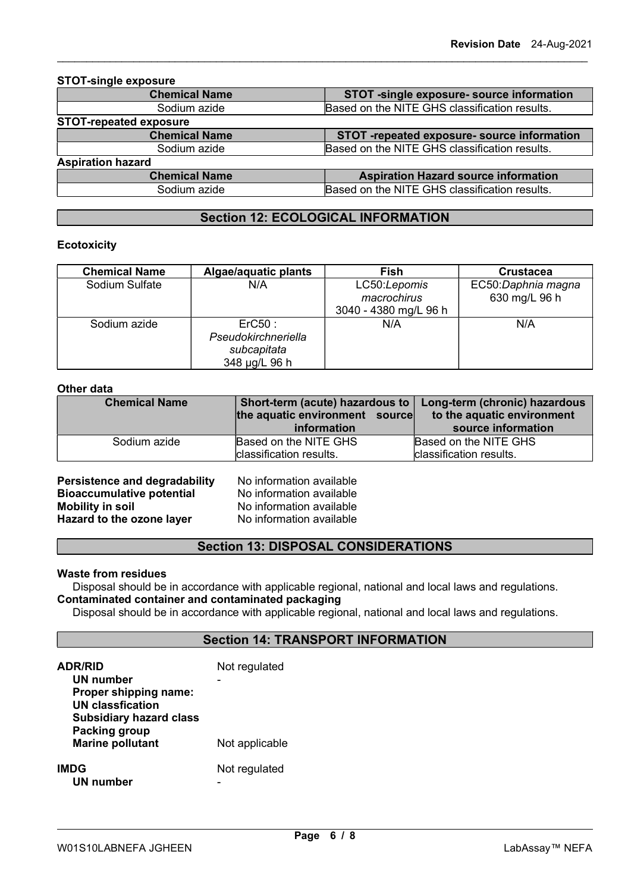| <b>STOT-single exposure</b>   |                                               |  |
|-------------------------------|-----------------------------------------------|--|
| <b>Chemical Name</b>          | STOT -single exposure- source information     |  |
| Sodium azide                  | Based on the NITE GHS classification results. |  |
| <b>STOT-repeated exposure</b> |                                               |  |
| <b>Chemical Name</b>          | STOT -repeated exposure- source information   |  |
| Sodium azide                  | Based on the NITE GHS classification results. |  |
| <b>Aspiration hazard</b>      |                                               |  |
| <b>Chemical Name</b>          | <b>Aspiration Hazard source information</b>   |  |
| Sodium azide                  | Based on the NITE GHS classification results. |  |
|                               |                                               |  |

# Section 12: ECOLOGICAL INFORMATION

#### **Ecotoxicity**

| <b>Chemical Name</b> | Algae/aquatic plants                                          | <b>Fish</b>                                          | <b>Crustacea</b>                    |
|----------------------|---------------------------------------------------------------|------------------------------------------------------|-------------------------------------|
| Sodium Sulfate       | N/A                                                           | LC50:Lepomis<br>macrochirus<br>3040 - 4380 mg/L 96 h | EC50:Daphnia magna<br>630 mg/L 96 h |
| Sodium azide         | Erc50:<br>Pseudokirchneriella<br>subcapitata<br>348 µg/L 96 h | N/A                                                  | N/A                                 |

### Other data

| <b>Chemical Name</b> | Short-term (acute) hazardous to<br>the aquatic environment source | Long-term (chronic) hazardous<br>to the aquatic environment |  |
|----------------------|-------------------------------------------------------------------|-------------------------------------------------------------|--|
|                      | information                                                       | source information                                          |  |
| Sodium azide         | Based on the NITE GHS                                             | Based on the NITE GHS                                       |  |
|                      | classification results.                                           | classification results.                                     |  |
|                      |                                                                   |                                                             |  |

**Persistence and degradability** No information available<br> **Bioaccumulative potential** No information available Bioaccumulative potential<br>Mobility in soil Hazard to the ozone layer

No information available<br>No information available

# Section 13: DISPOSAL CONSIDERATIONS

#### Waste from residues

Disposal should be in accordance with applicable regional, national and local laws and regulations. Contaminated container and contaminated packaging

Disposal should be in accordance with applicable regional, national and local laws and regulations.

# Section 14: TRANSPORT INFORMATION

| <b>ADR/RID</b><br>UN number<br>Proper shipping name:<br><b>UN classfication</b><br><b>Subsidiary hazard class</b> | Not regulated  |
|-------------------------------------------------------------------------------------------------------------------|----------------|
| <b>Packing group</b><br><b>Marine pollutant</b>                                                                   | Not applicable |
| <b>IMDG</b><br>UN number                                                                                          | Not regulated  |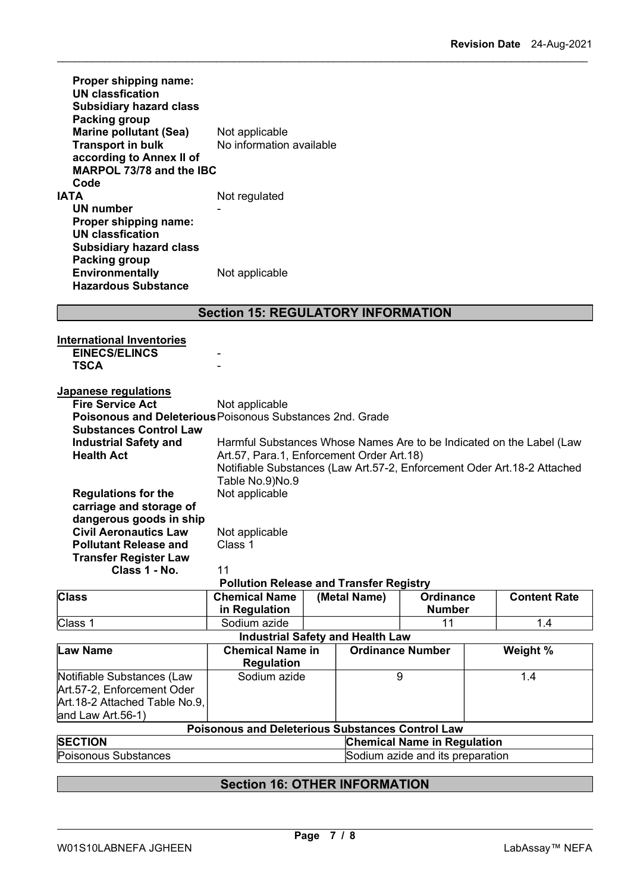| <b>Proper shipping name:</b><br><b>UN classfication</b><br><b>Subsidiary hazard class</b><br>Packing group<br><b>Marine pollutant (Sea)</b><br><b>Transport in bulk</b><br>according to Annex II of<br>MARPOL 73/78 and the IBC | Not applicable<br>No information available |
|---------------------------------------------------------------------------------------------------------------------------------------------------------------------------------------------------------------------------------|--------------------------------------------|
| Code                                                                                                                                                                                                                            |                                            |
| IATA                                                                                                                                                                                                                            | Not regulated                              |
| UN number                                                                                                                                                                                                                       |                                            |
| Proper shipping name:                                                                                                                                                                                                           |                                            |
| <b>UN classfication</b>                                                                                                                                                                                                         |                                            |
| <b>Subsidiary hazard class</b>                                                                                                                                                                                                  |                                            |
| Packing group<br>Environmentally<br><b>Hazardous Substance</b>                                                                                                                                                                  | Not applicable                             |

# Section 15: REGULATORY INFORMATION

| <b>International Inventories</b><br><b>EINECS/ELINCS</b><br><b>TSCA</b>                                                                       |                                                              |  |                         |                                    |     |                                                                                                                                                 |
|-----------------------------------------------------------------------------------------------------------------------------------------------|--------------------------------------------------------------|--|-------------------------|------------------------------------|-----|-------------------------------------------------------------------------------------------------------------------------------------------------|
| Japanese regulations<br><b>Fire Service Act</b><br>Poisonous and Deleterious Poisonous Substances 2nd. Grade<br><b>Substances Control Law</b> | Not applicable                                               |  |                         |                                    |     |                                                                                                                                                 |
| <b>Industrial Safety and</b><br><b>Health Act</b>                                                                                             | Art.57, Para.1, Enforcement Order Art.18)<br>Table No.9)No.9 |  |                         |                                    |     | Harmful Substances Whose Names Are to be Indicated on the Label (Law<br>Notifiable Substances (Law Art.57-2, Enforcement Oder Art.18-2 Attached |
| <b>Regulations for the</b><br>carriage and storage of<br>dangerous goods in ship                                                              | Not applicable                                               |  |                         |                                    |     |                                                                                                                                                 |
| <b>Civil Aeronautics Law</b><br><b>Pollutant Release and</b>                                                                                  | Not applicable<br>Class 1                                    |  |                         |                                    |     |                                                                                                                                                 |
| <b>Transfer Register Law</b><br>Class 1 - No.                                                                                                 | 11                                                           |  |                         |                                    |     |                                                                                                                                                 |
|                                                                                                                                               | <b>Pollution Release and Transfer Registry</b>               |  |                         |                                    |     |                                                                                                                                                 |
| <b>Class</b>                                                                                                                                  | <b>Chemical Name</b><br>in Regulation                        |  | (Metal Name)            | <b>Ordinance</b><br><b>Number</b>  |     | <b>Content Rate</b>                                                                                                                             |
| Class 1                                                                                                                                       | Sodium azide                                                 |  |                         | 11                                 |     | 1.4                                                                                                                                             |
|                                                                                                                                               | <b>Industrial Safety and Health Law</b>                      |  |                         |                                    |     |                                                                                                                                                 |
| <b>Law Name</b>                                                                                                                               | <b>Chemical Name in</b><br><b>Regulation</b>                 |  | <b>Ordinance Number</b> |                                    |     | Weight %                                                                                                                                        |
| Notifiable Substances (Law<br>Art.57-2, Enforcement Oder                                                                                      | Sodium azide                                                 |  | 9                       |                                    | 1.4 |                                                                                                                                                 |
| Art.18-2 Attached Table No.9,                                                                                                                 |                                                              |  |                         |                                    |     |                                                                                                                                                 |
| and Law Art.56-1)                                                                                                                             |                                                              |  |                         |                                    |     |                                                                                                                                                 |
|                                                                                                                                               | <b>Poisonous and Deleterious Substances Control Law</b>      |  |                         |                                    |     |                                                                                                                                                 |
| <b>SECTION</b>                                                                                                                                |                                                              |  |                         | <b>Chemical Name in Regulation</b> |     |                                                                                                                                                 |
| Poisonous Substances                                                                                                                          |                                                              |  |                         | Sodium azide and its preparation   |     |                                                                                                                                                 |

# Section 16: OTHER INFORMATION